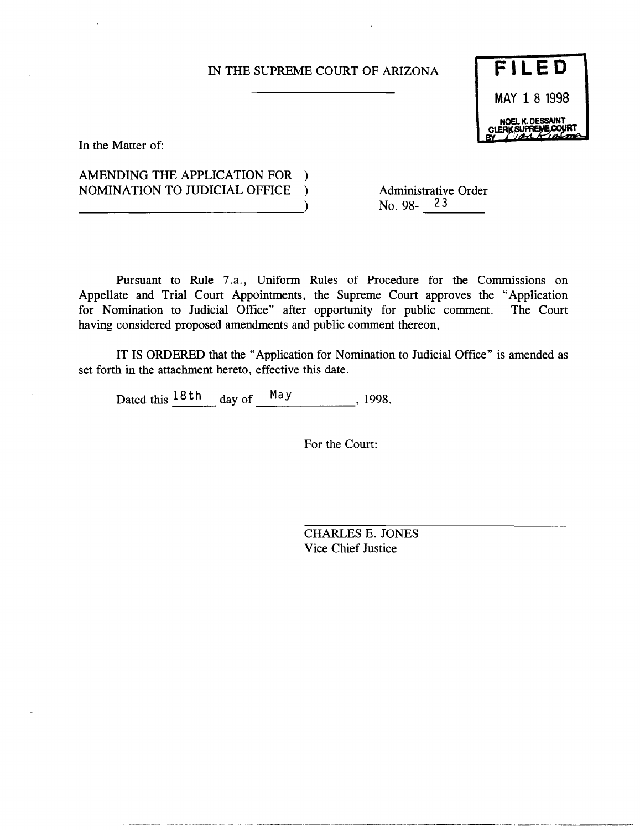### IN THE SUPREME COURT OF ARIZONA

**FILED**  MAY 1 8 1998

In the Matter of:

# AMENDING THE APPLICATION FOR ) NOMINATION TO JUDICIAL OFFICE ) --------------------------)

Administrative Order No. 98-23

Pursuant to Rule 7 .a., Uniform Rules of Procedure for the Commissions on Appellate and Trial Court Appointments, the Supreme Court approves the "Application for Nomination to Judicial Office" after opportunity for public comment. The Court for Nomination to Judicial Office" after opportunity for public comment. having considered proposed amendments and public comment thereon,

IT IS ORDERED that the "Application for Nomination to Judicial Office" is amended as set forth in the attachment hereto, effective this date.

Dated this  $\frac{18 \text{ th}}{18 \text{ th}}$  day of  $\frac{\text{May}}{\text{My}}$ , 1998.

For the Court:

CHARLES E. JONES Vice Chief Justice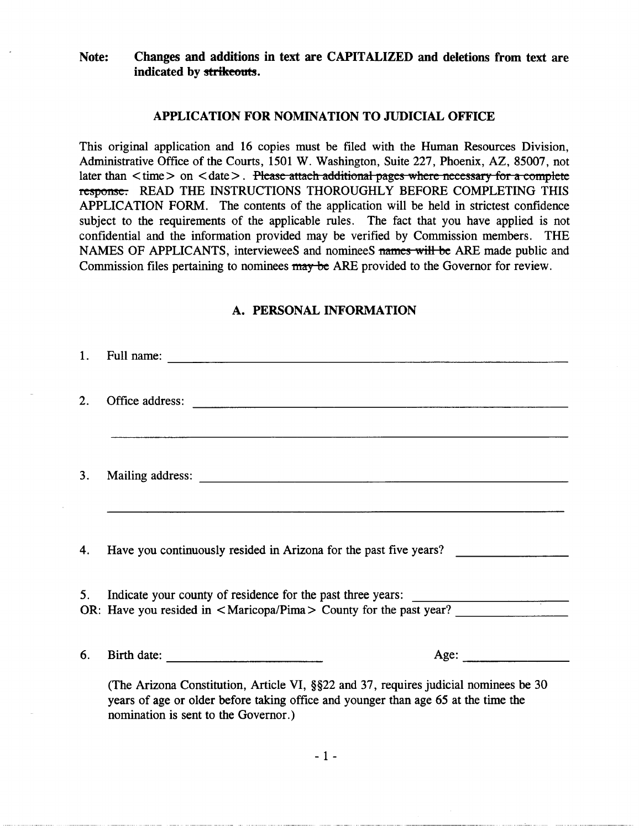### Note: Changes and additions in text are CAPITALIZED and deletions from text are indicated by strikeouts.

### APPLICATION FOR NOMINATION TO JUDICIAL OFFICE

This original application and 16 copies must be filed with the Human Resources Division, Administrative Office of the Courts, 1501 W. Washington, Suite 227, Phoenix, AZ, 85007, not later than  $\langle$  time  $>$  on  $\langle$  date  $>$ . Please attach additional pages where necessary for a complete response. READ THE INSTRUCTIONS THOROUGHLY BEFORE COMPLETING THIS APPLICATION FORM. The contents of the application will be held in strictest confidence subject to the requirements of the applicable rules. The fact that you have applied is not confidential and the information provided may be verified by Commission members. THE NAMES OF APPLICANTS, intervieweeS and nomineeS names will be ARE made public and Commission files pertaining to nominees may be ARE provided to the Governor for review.

# A. PERSONAL INFORMATION

| 1.               | Full name:                                                                                                                                                                                                         |
|------------------|--------------------------------------------------------------------------------------------------------------------------------------------------------------------------------------------------------------------|
| $\overline{2}$ . | Office address:<br><u> 1989 - Johann Johann Stoff, deutscher Stoffen und der Stoffen und der Stoffen und der Stoffen und der Stoffen</u>                                                                           |
| 3.               |                                                                                                                                                                                                                    |
| 4.               | Have you continuously resided in Arizona for the past five years?                                                                                                                                                  |
| 5 <sub>1</sub>   | Indicate your county of residence for the past three years:<br>OR: Have you resided in <maricopa pima=""> County for the past year?</maricopa>                                                                     |
| 6.               | Age:                                                                                                                                                                                                               |
|                  | (The Arizona Constitution, Article VI, §§22 and 37, requires judicial nominees be 30<br>years of age or older before taking office and younger than age 65 at the time the<br>nomination is sent to the Governor.) |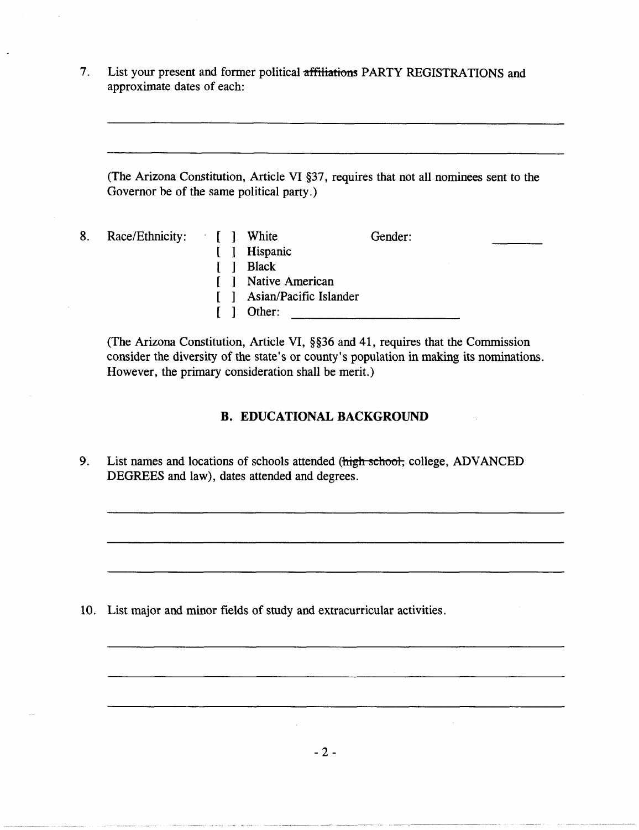7. List your present and former political affiliations PARTY REGISTRATIONS and approximate dates of each:

(The Arizona Constitution, Article VI §37, requires that not all nominees sent to the Governor be of the same political party.)

| 8. | Race/Ethnicity: [ ] White |  |                            | Gender: |
|----|---------------------------|--|----------------------------|---------|
|    |                           |  | [ ] Hispanic               |         |
|    |                           |  | Black                      |         |
|    |                           |  | [ ] Native American        |         |
|    |                           |  | [ ] Asian/Pacific Islander |         |
|    |                           |  | Other:                     |         |

(The Arizona Constitution, Article VI, §§36 and 41, requires that the Commission consider the diversity of the state's or county's population in making its nominations. However, the primary consideration shall be merit.)

### **B. EDUCATIONAL BACKGROUND**

9. List names and locations of schools attended (high school, college, ADVANCED DEGREES and law), dates attended and degrees.

10. List major and minor fields of study and extracurricular activities.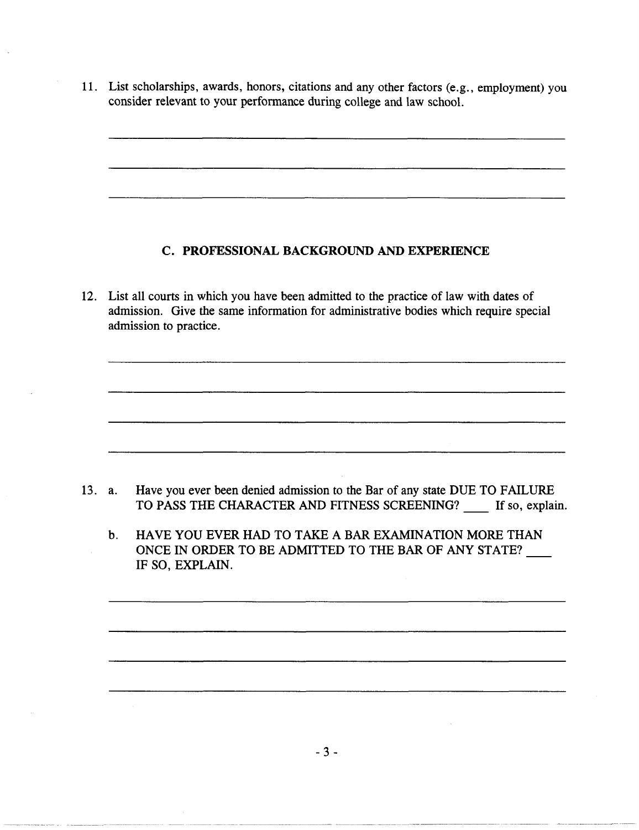11. List scholarships, awards, honors, citations and any other factors (e.g., employment) you consider relevant to your performance during college and law school.

### c. PROFESSIONAL BACKGROUND AND EXPERIENCE

12. List all courts in which you have been admitted to the practice of law with dates of admission. Give the same information for administrative bodies which require special admission to practice.

- 13. a. Have you ever been denied admission to the Bar of any state DUE TO FAILURE TO PASS THE CHARACTER AND FITNESS SCREENING? If so, explain.
	- b. HAVE YOU EVER HAD TO TAKE A BAR EXAMINATION MORE THAN ONCE IN ORDER TO BE ADMITTED TO THE BAR OF ANY STATE? IF SO, EXPLAIN.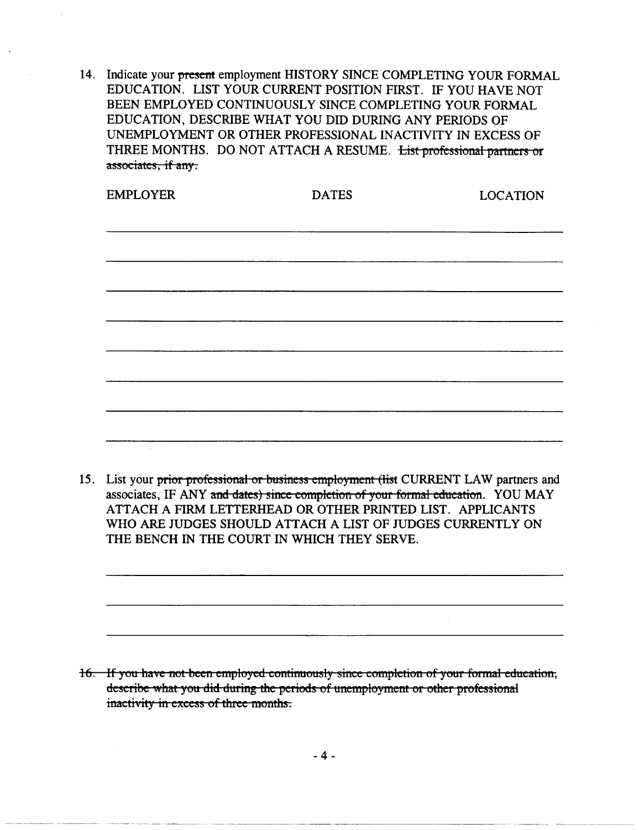14. Indicate your present employment HISTORY SINCE COMPLETING YOUR FORMAL EDUCATION. LIST YOUR CURRENT POSITION FIRST. IF YOU HA VE NOT BEEN EMPLOYED CONTINUOUSLY SINCE COMPLETING YOUR FORMAL EDUCATION, DESCRIBE WHAT YOU DID DURING ANY PERIODS OF UNEMPLOYMENT OR OTHER PROFESSIONAL INACTIVITY IN EXCESS OF THREE MONTHS. DO NOT ATTACH A RESUME. List professional partners or associates, if any.

| <b>EMPLOYER</b> | <b>DATES</b> | <b>LOCATION</b> |
|-----------------|--------------|-----------------|
|                 |              |                 |
|                 |              |                 |
|                 |              |                 |
|                 |              |                 |
|                 |              |                 |
|                 |              |                 |
|                 |              |                 |
|                 |              |                 |
|                 |              |                 |
|                 |              |                 |

15. List your prior professional or business employment (list CURRENT LAW partners and associates, IF ANY and dates) since completion of your formal education. YOU MAY ATTACH A FIRM LETTERHEAD OR OTHER PRINTED LIST. APPLICANTS WHO ARE JUDGES SHOULD ATTACH A LIST OF JUDGES CURRENTLY ON THE BENCH IN THE COURT IN WHICH THEY SERVE.

16. If you have not been employed continuously since completion of your formal education, describe what you did during the periods of unemployment or other professional inactivity in excess of three months.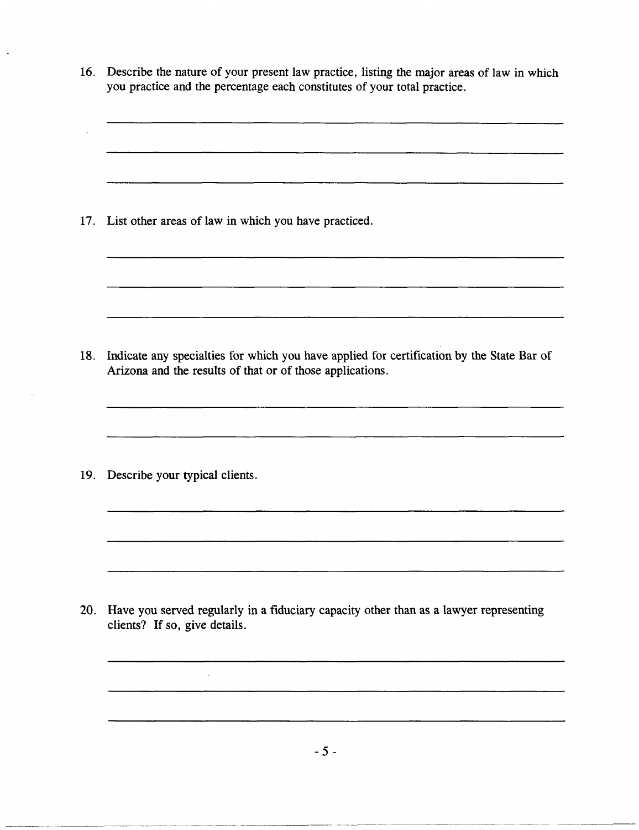| 17. List other areas of law in which you have practiced.<br>Indicate any specialties for which you have applied for certification by the State Bar of<br>18.<br>Arizona and the results of that or of those applications.<br>Describe your typical clients.<br>19. |  |
|--------------------------------------------------------------------------------------------------------------------------------------------------------------------------------------------------------------------------------------------------------------------|--|
|                                                                                                                                                                                                                                                                    |  |
|                                                                                                                                                                                                                                                                    |  |
|                                                                                                                                                                                                                                                                    |  |
| Have you served regularly in a fiduciary capacity other than as a lawyer representing<br>20.<br>clients? If so, give details.                                                                                                                                      |  |

- 5 -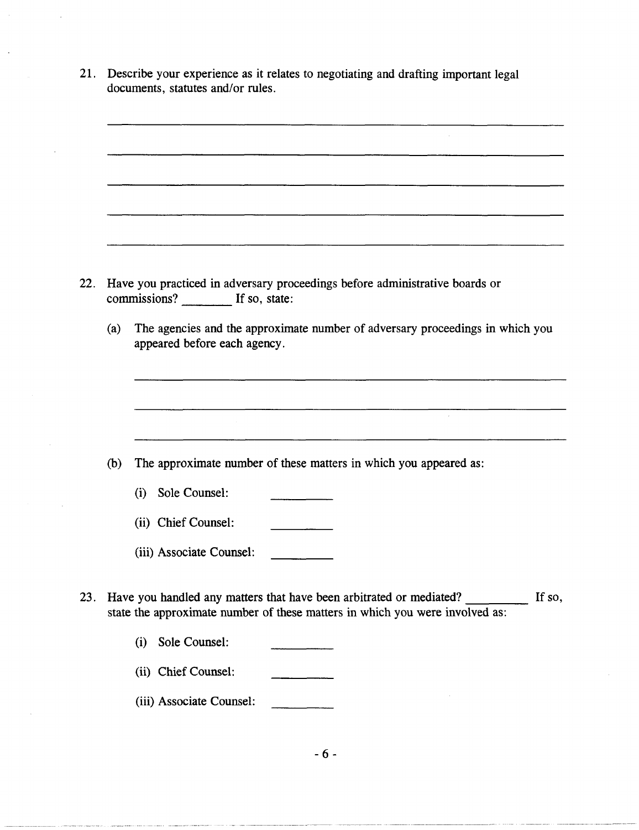21. Describe your experience as it relates to negotiating and drafting important legal documents, statutes and/or rules.

22. Have you practiced in adversary proceedings before administrative boards or commissions? If so, state: (a) The agencies and the approximate number of adversary proceedings in which you appeared before each agency. (b) The approximate number of these matters in which you appeared as: (i) Sole Counsel: (ii) Chief Counsel: (iii) Associate Counsel: 23. Have you handled any matters that have been arbitrated or mediated? If so, state the approximate number of these matters in which you were involved as: (i) Sole Counsel: (ii) Chief Counsel: (iii) Associate Counsel: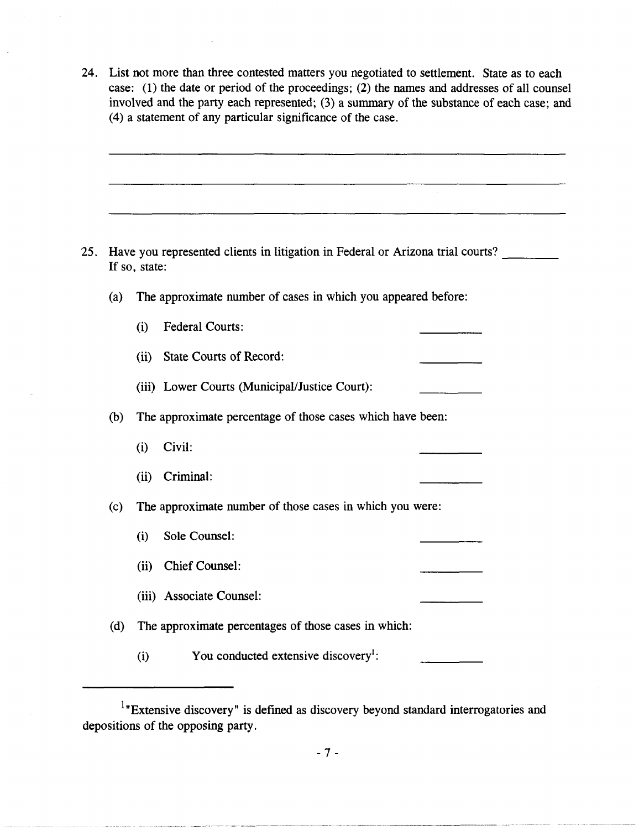24. List not more than three contested matters you negotiated to settlement. State as to each case: (1) the date or period of the proceedings; (2) the names and addresses of all counsel involved and the party each represented; (3) a summary of the substance of each case; and (4) a statement of any particular significance of the case.

- 25. Have you represented clients in litigation in Federal or Arizona trial courts? If so, state:
	- (a) The approximate number of cases in which you appeared before:
		- (i) Federal Courts:
		- (ii) State Courts of Record:

(iii) Lower Courts (Municipal/Justice Court):

- (b) The approximate percentage of those cases which have been:
	- (i) Civil:
	- (ii) Criminal:
- (c) The approximate number of those cases in which you were:
	- (i) Sole Counsel:
	- (ii) Chief Counsel:
	- (iii) Associate Counsel:
- (d) The approximate percentages of those cases in which:
	- (i) You conducted extensive discovery<sup>1</sup>:

 $1$ "Extensive discovery" is defined as discovery beyond standard interrogatories and depositions of the opposing party.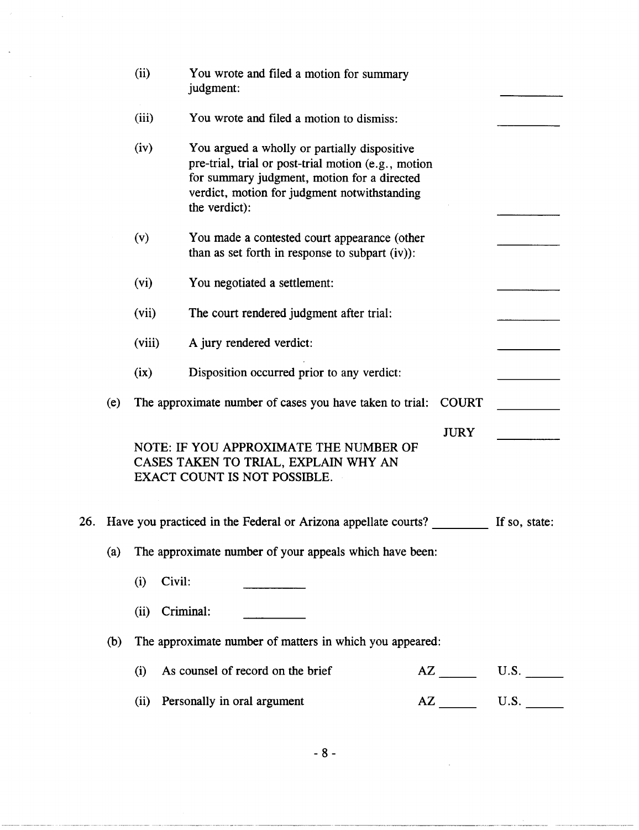|     |                                                                 | (ii)<br>You wrote and filed a motion for summary<br>judgment: |                                                                                                                                                                                                                     |              |               |  |  |
|-----|-----------------------------------------------------------------|---------------------------------------------------------------|---------------------------------------------------------------------------------------------------------------------------------------------------------------------------------------------------------------------|--------------|---------------|--|--|
|     |                                                                 | (iii)                                                         | You wrote and filed a motion to dismiss:                                                                                                                                                                            |              |               |  |  |
|     |                                                                 | (iv)                                                          | You argued a wholly or partially dispositive<br>pre-trial, trial or post-trial motion (e.g., motion<br>for summary judgment, motion for a directed<br>verdict, motion for judgment notwithstanding<br>the verdict): |              |               |  |  |
|     |                                                                 | (v)                                                           | You made a contested court appearance (other<br>than as set forth in response to subpart (iv)):                                                                                                                     |              |               |  |  |
|     |                                                                 | (vi)                                                          | You negotiated a settlement:                                                                                                                                                                                        |              |               |  |  |
|     |                                                                 | (vii)                                                         | The court rendered judgment after trial:                                                                                                                                                                            |              |               |  |  |
|     |                                                                 | (viii)                                                        | A jury rendered verdict:                                                                                                                                                                                            |              |               |  |  |
|     |                                                                 | (ix)                                                          | Disposition occurred prior to any verdict:                                                                                                                                                                          |              |               |  |  |
|     | (e)                                                             |                                                               | The approximate number of cases you have taken to trial:                                                                                                                                                            | <b>COURT</b> |               |  |  |
|     |                                                                 |                                                               | NOTE: IF YOU APPROXIMATE THE NUMBER OF<br>CASES TAKEN TO TRIAL, EXPLAIN WHY AN<br><b>EXACT COUNT IS NOT POSSIBLE.</b>                                                                                               | <b>JURY</b>  |               |  |  |
| 26. |                                                                 |                                                               | Have you practiced in the Federal or Arizona appellate courts?                                                                                                                                                      |              | If so, state: |  |  |
|     | (a)                                                             | The approximate number of your appeals which have been:       |                                                                                                                                                                                                                     |              |               |  |  |
|     |                                                                 | Civil:<br>(i)                                                 |                                                                                                                                                                                                                     |              |               |  |  |
|     |                                                                 | (ii)                                                          | Criminal:                                                                                                                                                                                                           |              |               |  |  |
|     | The approximate number of matters in which you appeared:<br>(b) |                                                               |                                                                                                                                                                                                                     |              |               |  |  |
|     |                                                                 | (i)                                                           | As counsel of record on the brief                                                                                                                                                                                   |              | $AZ$ U.S.     |  |  |
|     |                                                                 | (ii)                                                          | Personally in oral argument                                                                                                                                                                                         |              |               |  |  |

-- --- ------- ~--~~-----~-- ~~--~------------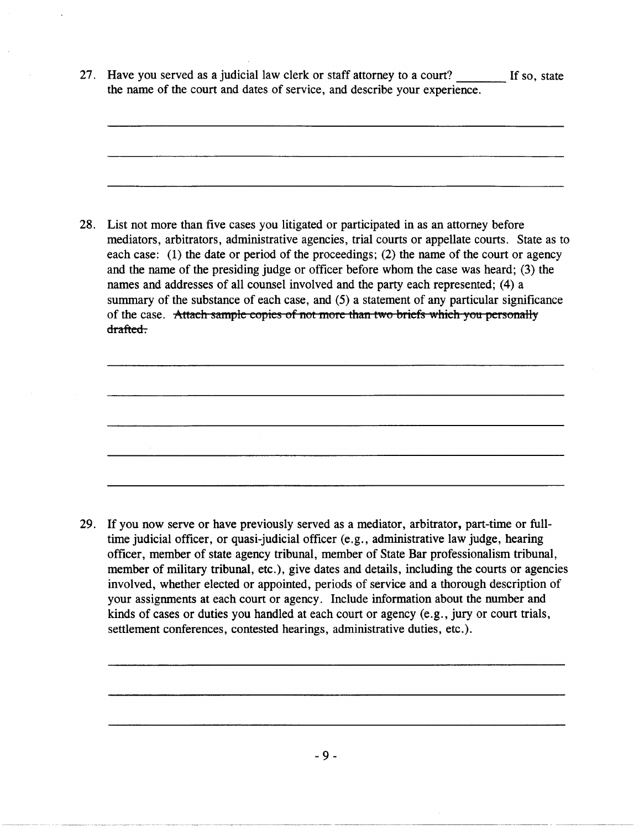27. Have you served as a judicial law clerk or staff attorney to a court? If so, state the name of the court and dates of service, and describe your experience.

28. List not more than five cases you litigated or participated in as an attorney before mediators, arbitrators, administrative agencies, trial courts or appellate courts. State as to each case: (1) the date or period of the proceedings; (2) the name of the court or agency and the name of the presiding judge or officer before whom the case was heard; (3) the names and addresses of all counsel involved and the party each represented; (4) a summary of the substance of each case, and (5) a statement of any particular significance of the case. Attach sample copies of not more than two briefs which you personally drafted.

29. If you now serve or have previously served as a mediator, arbitrator, part-time or fulltime judicial officer, or quasi-judicial officer (e.g., administrative law judge, hearing officer, member of state agency tribunal, member of State Bar professionalism tribunal, member of military tribunal, etc.), give dates and details, including the courts or agencies involved, whether elected or appointed, periods of service and a thorough description of your assignments at each court or agency. Include information about the number and kinds of cases or duties you handled at each court or agency (e.g., jury or court trials, settlement conferences, contested hearings, administrative duties, etc.).

- 9 -

----------------- -------------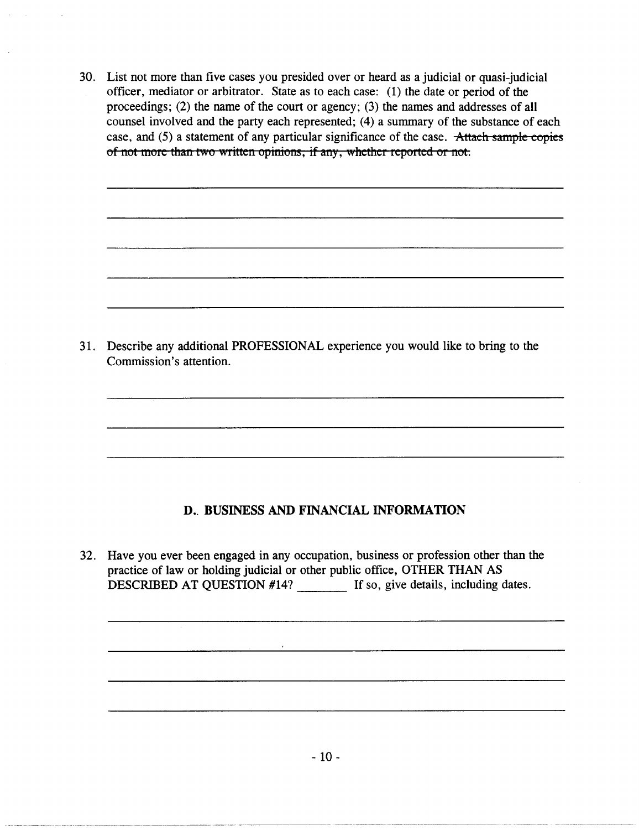30. List not more than five cases you presided over or heard as a judicial or quasi-judicial officer, mediator or arbitrator. State as to each case: (1) the date or period of the proceedings; (2) the name of the court or agency; (3) the names and addresses of all counsel involved and the party each represented; (4) a summary of the substance of each case, and (5) a statement of any particular significance of the case. Attach sample copies of not more than two written opinions, if any, whether reported or not.

31. Describe any additional PROFESSIONAL experience you would like to bring to the Commission's attention.

# D. BUSINESS AND FINANCIAL INFORMATION

32. Have you ever been engaged in any occupation, business or profession other than the practice of law or holding judicial or other public office, OTHER THAN AS DESCRIBED AT QUESTION #14? If so, give details, including dates.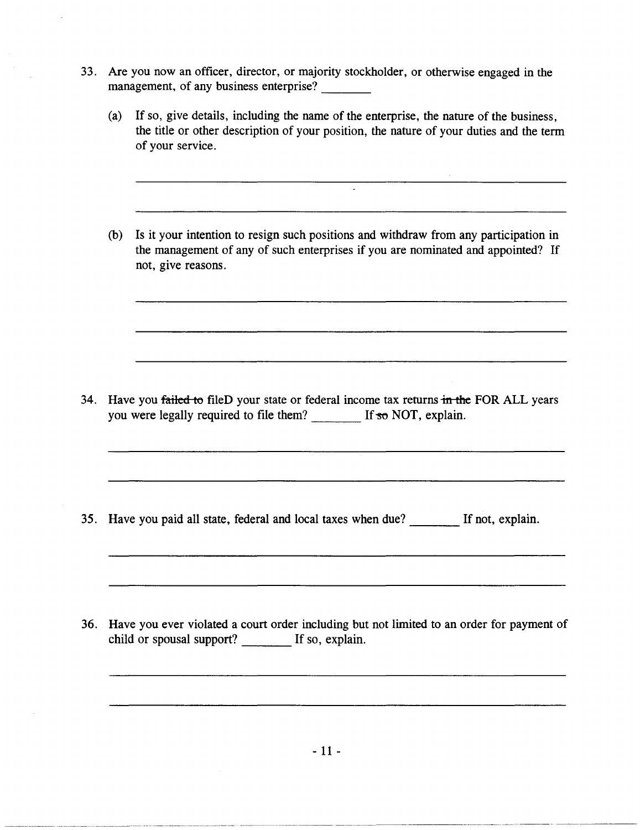- 33. Are you now an officer, director, or majority stockholder, or otherwise engaged in the management, of any business enterprise?
	- (a) If so, give details, including the name of the enterprise, the nature of the business, the title or other description of your position, the nature of your duties and the term of your service.
	- (b) Is it your intention to resign such positions and withdraw from any participation in the management of any of such enterprises if you are nominated and appointed? If not, give reasons.

34. Have you failed to fileD your state or federal income tax returns in the FOR ALL years you were legally required to file them? If so NOT, explain.

35. Have you paid all state, federal and local taxes when due? \_\_\_\_ If not, explain.

36. Have you ever violated a court order including but not limited to an order for payment of child or spousal support? If so, explain.

--~---~-~--~----- ---~------- --~-~--~------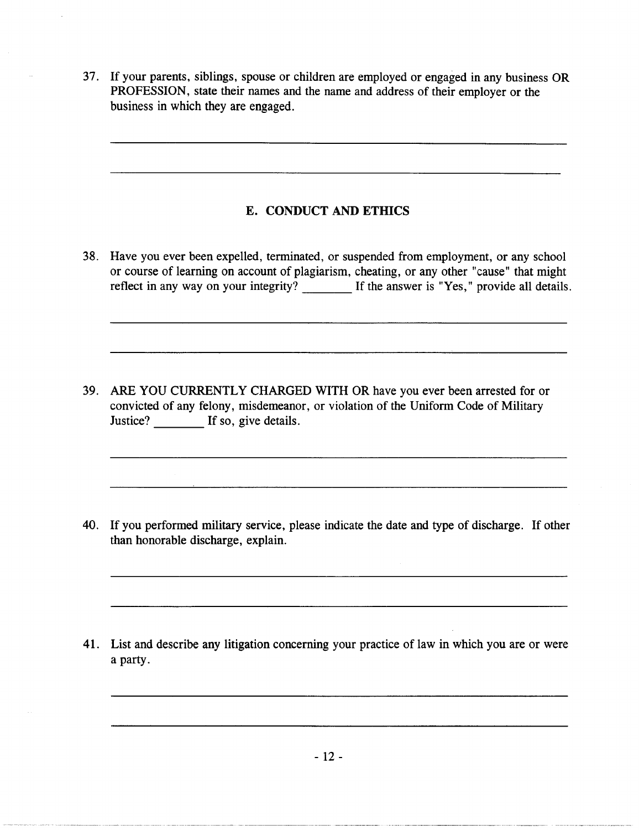37. If your parents, siblings, spouse or children are employed or engaged in any business OR PROFESSION, state their names and the name and address of their employer or the business in which they are engaged.

# E. CONDUCT AND ETHICS

38. Have you ever been expelled, terminated, or suspended from employment, or any school or course of learning on account of plagiarism, cheating, or any other "cause" that might reflect in any way on your integrity? If the answer is "Yes," provide all details.

39. ARE YOU CURRENTLY CHARGED WITH OR have you ever been arrested for or convicted of any felony, misdemeanor, or violation of the Uniform Code of Military Justice? If so, give details.

40. If you performed military service, please indicate the date and type of discharge. If other than honorable discharge, explain.

41. List and describe any litigation concerning your practice of law in which you are or were a party.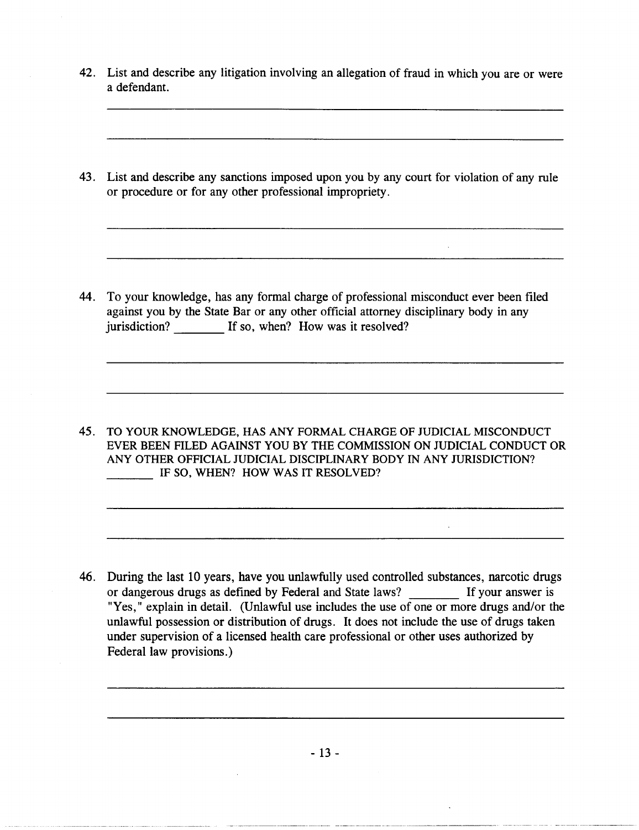- 42. List and describe any litigation involving an allegation of fraud in which you are or were a defendant.
- 43. List and describe any sanctions imposed upon you by any court for violation of any rule or procedure or for any other professional impropriety.

44. To your knowledge, has any formal charge of professional misconduct ever been filed against you by the State Bar or any other official attorney disciplinary body in any jurisdiction? If so, when? How was it resolved?

45. TO YOUR KNOWLEDGE, HAS ANY FORMAL CHARGE OF JUDICIAL MISCONDUCT EVER BEEN FILED AGAINST YOU BY THE COMMISSION ON JUDICIAL CONDUCT OR ANY OTHER OFFICIAL JUDICIAL DISCIPLINARY BODY IN ANY JURISDICTION? **IF SO, WHEN? HOW WAS IT RESOLVED?** 

46. During the last 10 years, have you unlawfully used controlled substances, narcotic drugs or dangerous drugs as defined by Federal and State laws? \_\_\_\_\_\_\_\_\_ If your answer is "Yes," explain in detail. (Unlawful use includes the use of one or more drugs and/or the unlawful possession or distribution of drugs. It does not include the use of drugs taken under supervision of a licensed health care professional or other uses authorized by Federal law provisions.)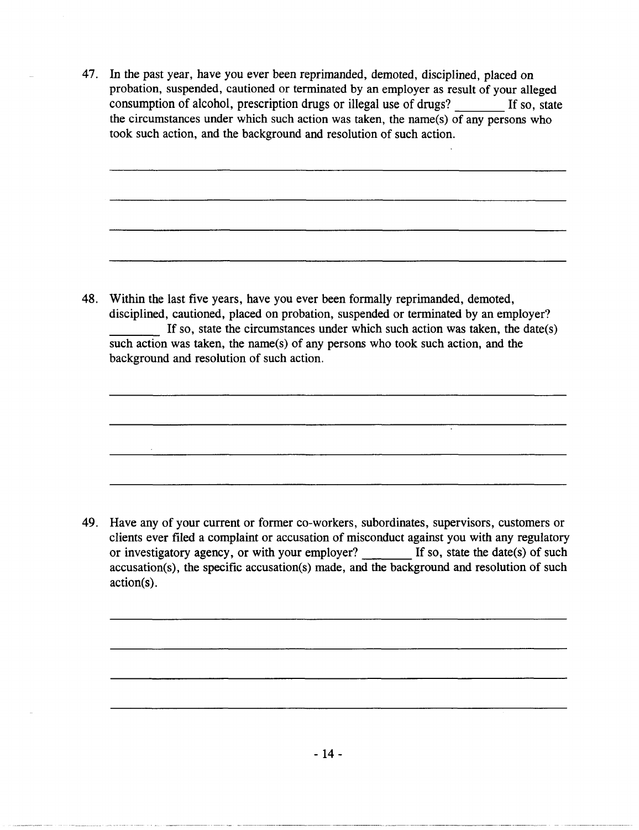47. In the past year, have you ever been reprimanded, demoted, disciplined, placed on probation, suspended, cautioned or terminated by an employer as result of your alleged consumption of alcohol, prescription drugs or illegal use of drugs? If so, state the circumstances under which such action was taken, the name(s) of any persons who took such action, and the background and resolution of such action.

48. Within the last five years, have you ever been formally reprimanded, demoted, disciplined, cautioned, placed on probation, suspended or terminated by an employer? If so, state the circumstances under which such action was taken, the date(s) such action was taken, the name(s) of any persons who took such action, and the background and resolution of such action.

49. Have any of your current or former co-workers, subordinates, supervisors, customers or clients ever filed a complaint or accusation of misconduct against you with any regulatory or investigatory agency, or with your employer? If so, state the date(s) of such accusation(s), the specific accusation(s) made, and the background and resolution of such action(s).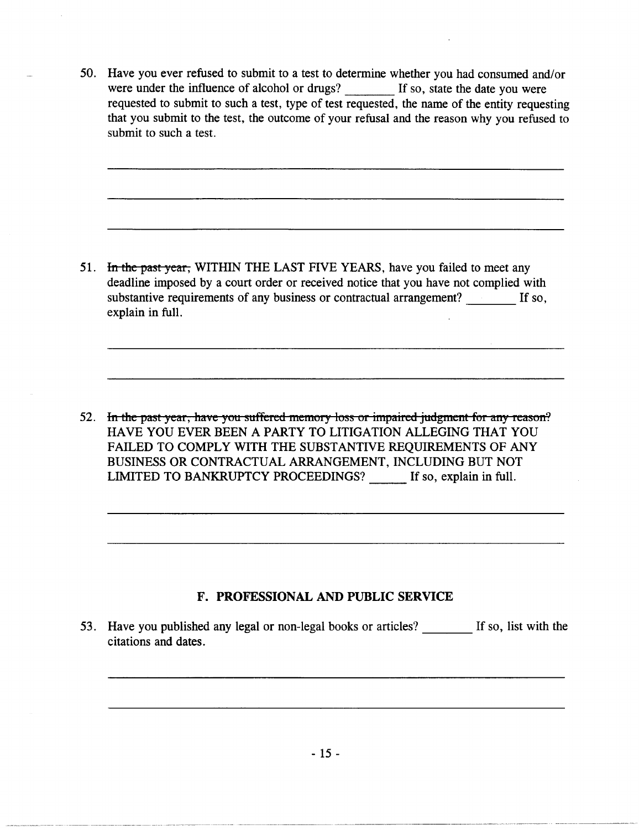50. Have you ever refused to submit to a test to determine whether you had consumed and/or were under the influence of alcohol or drugs? If so, state the date you were requested to submit to such a test, type of test requested, the name of the entity requesting that you submit to the test, the outcome of your refusal and the reason why you refused to submit to such a test.

51. In the past year, WITHIN THE LAST FIVE YEARS, have you failed to meet any deadline imposed by a court order or received notice that you have not complied with substantive requirements of any business or contractual arrangement? If so, explain in full.

52. In the past year, have you suffered memory loss or impaired judgment for any reason? HAVE YOU EVER BEEN A PARTY TO LITIGATION ALLEGING THAT YOU FAILED TO COMPLY WITH THE SUBSTANTIVE REQUIREMENTS OF ANY BUSINESS OR CONTRACTUAL ARRANGEMENT, INCLUDING BUT NOT LIMITED TO BANKRUPTCY PROCEEDINGS? If so, explain in full.

# F. PROFESSIONAL AND PUBLIC SERVICE

53. Have you published any legal or non-legal books or articles? If so, list with the citations and dates.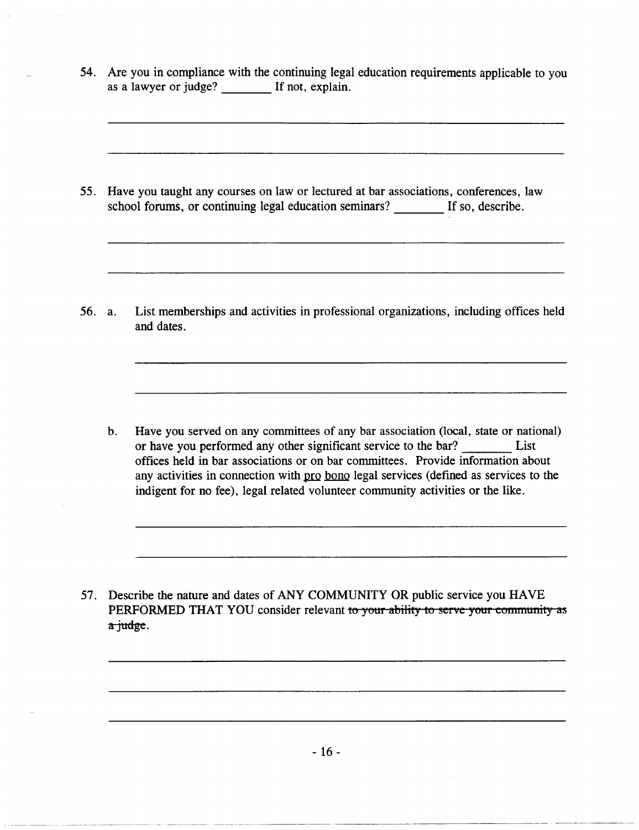54. Are you in compliance with the continuing legal education requirements applicable to you as a lawyer or judge? If not, explain.

55. Have you taught any courses on law or lectured at bar associations, conferences, law school forums, or continuing legal education seminars? If so, describe.

56. a. List memberships and activities in professional organizations, including offices held and dates.

b. Have you served on any committees of any bar association (local, state or national) or have you performed any other significant service to the bar? List offices held in bar associations or on bar committees. Provide information about any activities in connection with pro bono legal services (defined as services to the indigent for no fee), legal related volunteer community activities or the like.

57. Describe the nature and dates of ANY COMMUNITY OR public service you HAVE PERFORMED THAT YOU consider relevant to your ability to serve your community as a judge.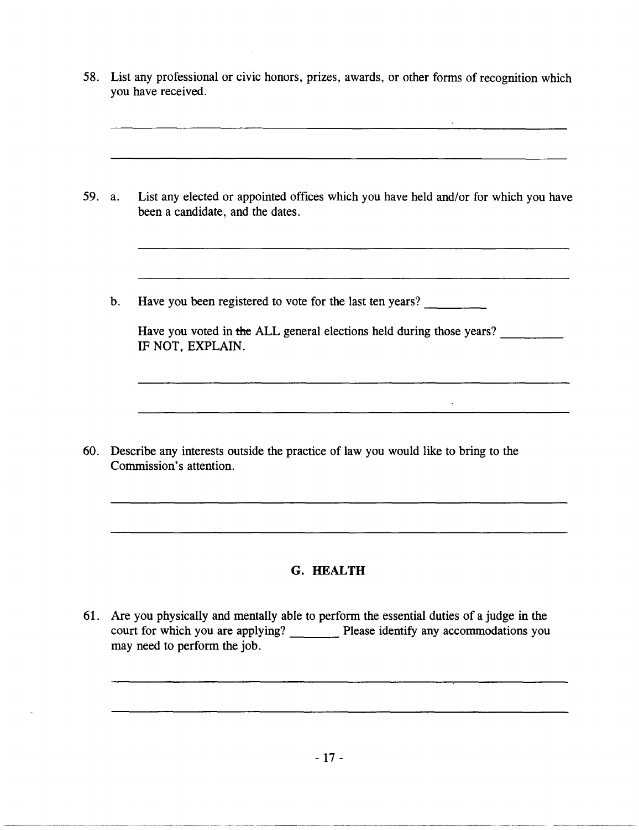58. List any professional or civic honors, prizes, awards, or other forms of recognition which you have received.

- 59. a. List any elected or appointed offices which you have held and/or for which you have been a candidate, and the dates.
	- b. Have you been registered to vote for the last ten years?

Have you voted in the ALL general elections held during those years? IF NOT, EXPLAIN.

60. Describe any interests outside the practice of law you would like to bring to the Commission's attention.

<u> 1980 - Jan Barnett, mars et al. (</u>† 1905)

# **G. HEALTH**

61. Are you physically and mentally able to perform the essential duties of a judge in the court for which you are applying? Please identify any accommodations you may need to perform the job.

------------- - ------------ ------- - --------- -- ----- ------------- ---------------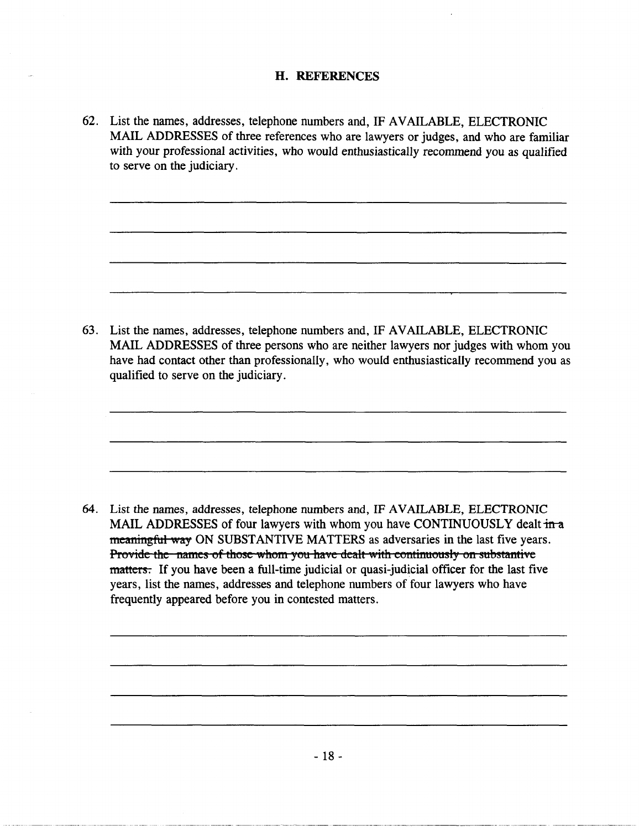### H. REFERENCES

62. List the names, addresses, telephone numbers and, IF AVAILABLE, ELECTRONIC MAIL ADDRESSES of three references who are lawyers or judges, and who are familiar with your professional activities, who would enthusiastically recommend you as qualified to serve on the judiciary .

63. List the names, addresses, telephone numbers and, IF AVAILABLE, ELECTRONIC MAIL ADDRESSES of three persons who are neither lawyers nor judges with whom you have had contact other than professionally, who would enthusiastically recommend you as qualified to serve on the judiciary.

64. List the names, addresses, telephone numbers and, IF AVAILABLE, ELECTRONIC MAIL ADDRESSES of four lawyers with whom you have CONTINUOUSLY dealt in a meaningful way ON SUBSTANTIVE MATTERS as adversaries in the last five years. Provide the names of those whom you have dealt with continuously on substantive matters. If you have been a full-time judicial or quasi-judicial officer for the last five years, list the names, addresses and telephone numbers of four lawyers who have frequently appeared before you in contested matters.

- 18 -

-------------- ----- ---- - ------------------ ---------------- -~~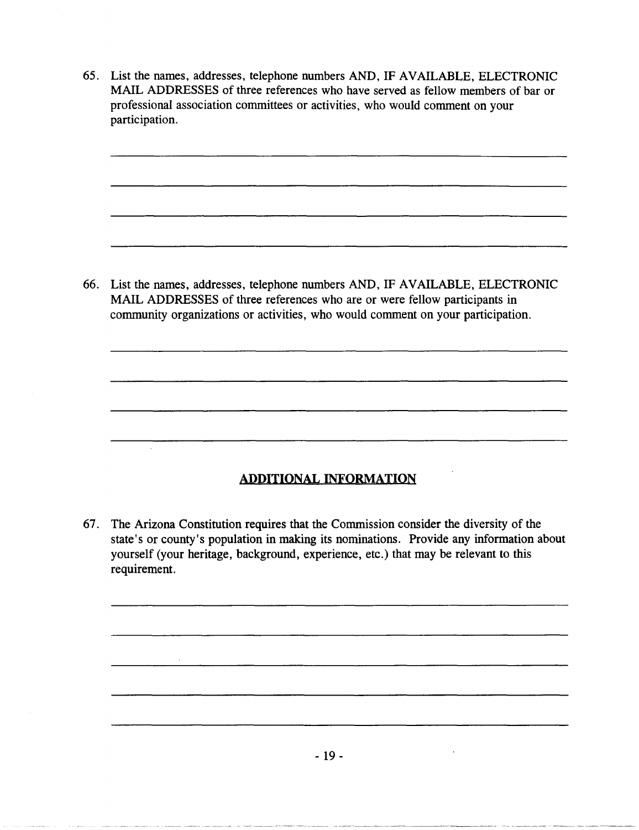65. List the names, addresses, telephone numbers AND, IF AVAILABLE, ELECTRONIC MAIL ADDRESSES of three references who have served as fellow members of bar or professional association committees or activities, who would comment on your participation.

66. List the names, addresses, telephone numbers AND, IF AVAILABLE, ELECTRONIC MAIL ADDRESSES of three references who are or were fellow participants in community organizations or activities, who would comment on your participation.

# **ADDITIONAL INFORMATION**

67. The Arizona Constitution requires that the Commission consider the diversity of the state's or county's population in making its nominations. Provide any information about yourself (your heritage, background, experience, etc.) that may be relevant to this requirement.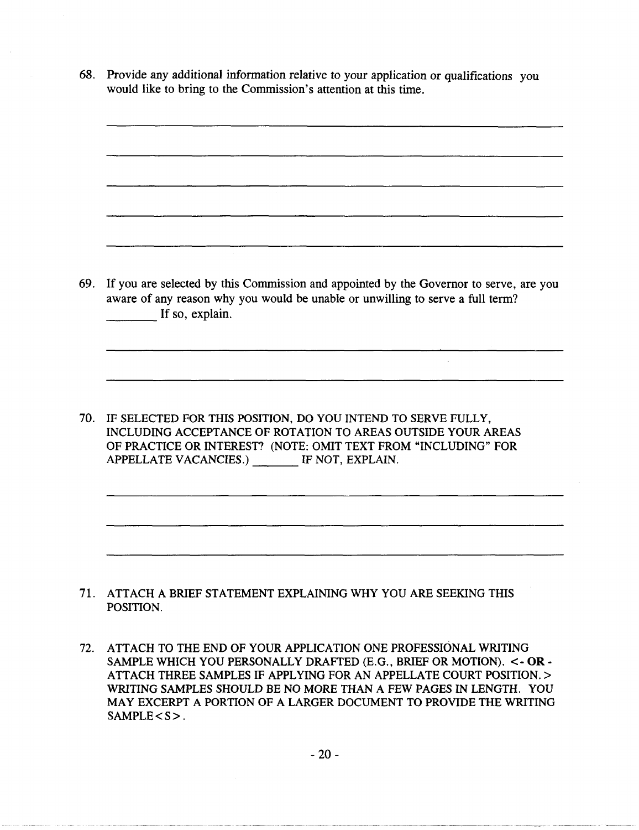68. Provide any additional information relative to your application or qualifications you would like to bring to the Commission's attention at this time.

69. If you are selected by this Commission and appointed by the Governor to serve, are you aware of any reason why you would be unable or unwilling to serve a full term?<br>
If so, explain.

 $\mathcal{L}_{\mathcal{A}}$ 

70. IF SELECTED FOR THIS POSITION, DO YOU INTEND TO SERVE FULLY, INCLUDING ACCEPTANCE OF ROTATION TO AREAS OUTSIDE YOUR AREAS OF PRACTICE OR INTEREST? (NOTE: OMIT TEXT FROM "INCLUDING" FOR APPELLATE VACANCIES.) IF NOT, EXPLAIN.

- 71. ATTACH A BRIEF STATEMENT EXPLAINING WHY YOU ARE SEEKING THIS POSITION.
- 72. ATTACH TO THE END OF YOUR APPLICATION ONE PROFESSIONAL WRITING SAMPLE WHICH YOU PERSONALLY DRAFTED (E.G., BRIEF OR MOTION). <- **OR-**ATTACH THREE SAMPLES IF APPLYING FOR AN APPELLATE COURT POSITION. > WRITING SAMPLES SHOULD BE NO MORE THAN A FEW PAGES IN LENGTH. YOU MAY EXCERPT A PORTION OF A LARGER DOCUMENT TO PROVIDE THE WRITING SAMPLE <S>.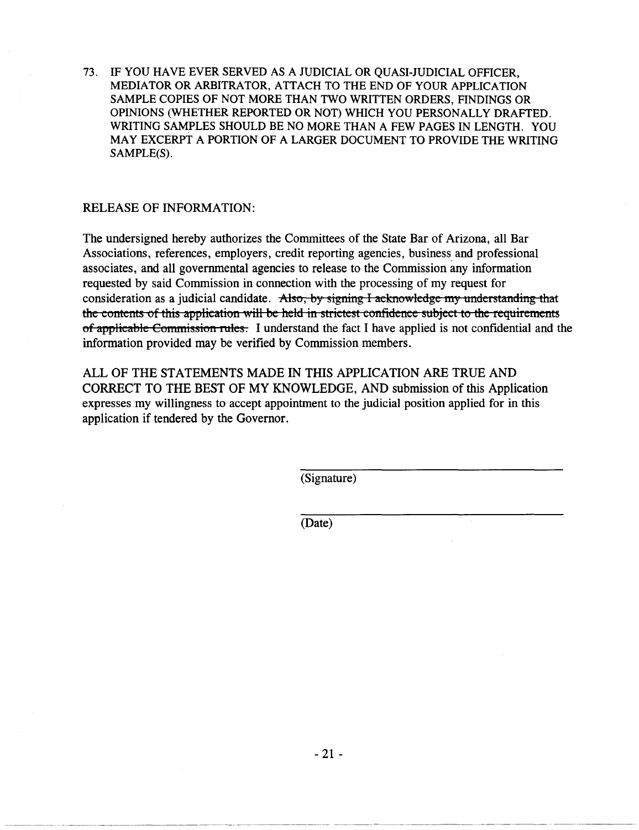73. IF YOU HAVE EVER SERVED AS A JUDICIAL OR QUASI-JUDICIAL OFFICER, MEDIATOR OR ARBITRATOR, ATTACH TO THE END OF YOUR APPLICATION SAMPLE COPIES OF NOT MORE THAN TWO WRITTEN ORDERS, FINDINGS OR OPINIONS (WHETHER REPORTED OR NOT) WHICH YOU PERSONALLY DRAFTED. WRITING SAMPLES SHOULD BE NO MORE THAN A FEW PAGES IN LENGTH. YOU MAY EXCERPT A PORTION OF A LARGER DOCUMENT TO PROVIDE THE WRITING SAMPLE(S).

#### RELEASE OF INFORMATION:

The undersigned hereby authorizes the Committees of the State Bar of Arizona, all Bar Associations, references, employers, credit reporting agencies, business and professional associates, and all governmental agencies to release to the Commission any information requested by said Commission in connection with the processing of my request for consideration as a judicial candidate. Also, by signing I acknowledge my understanding that the contents of this application will be held in strictest confidence subject to the requirements of applicable Commission rules. I understand the fact I have applied is not confidential and the information provided may be verified by Commission members.

ALL OF THE STATEMENTS MADE IN THIS APPLICATION ARE TRUE AND CORRECT TO THE BEST OF MY KNOWLEDGE, AND submission of this Application expresses my willingness to accept appointment to the judicial position applied for in this application if tendered by the Governor.

(Signature)

(Date)